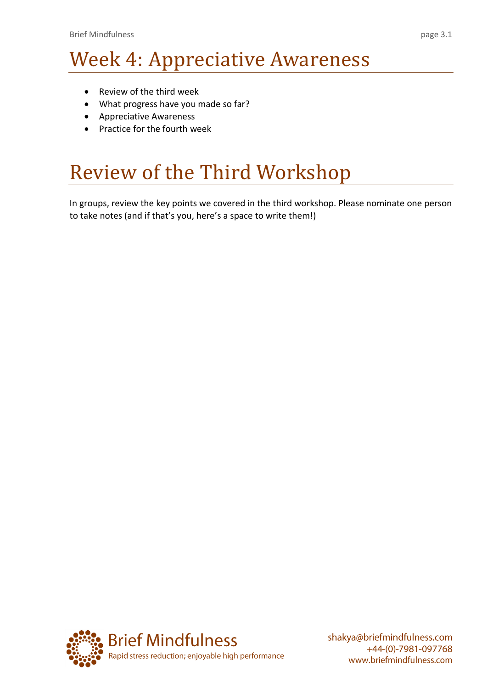# Week 4: Appreciative Awareness

- Review of the third week
- What progress have you made so far?
- Appreciative Awareness
- Practice for the fourth week

## Review of the Third Workshop

In groups, review the key points we covered in the third workshop. Please nominate one person to take notes (and if that's you, here's a space to write them!)

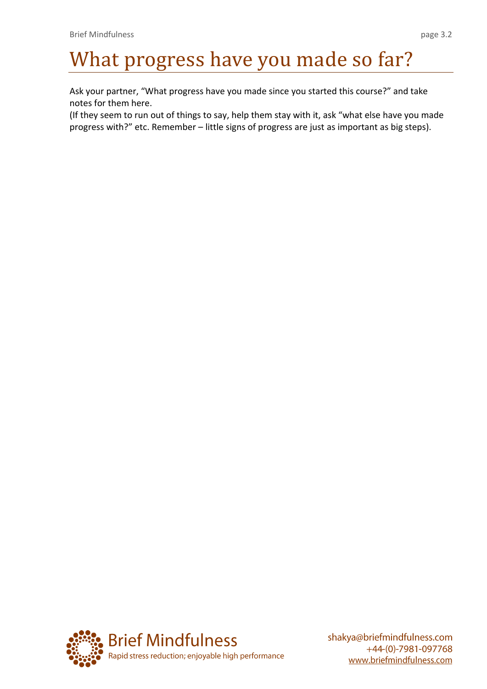# What progress have you made so far?

Ask your partner, "What progress have you made since you started this course?" and take notes for them here.

(If they seem to run out of things to say, help them stay with it, ask "what else have you made progress with?" etc. Remember – little signs of progress are just as important as big steps).

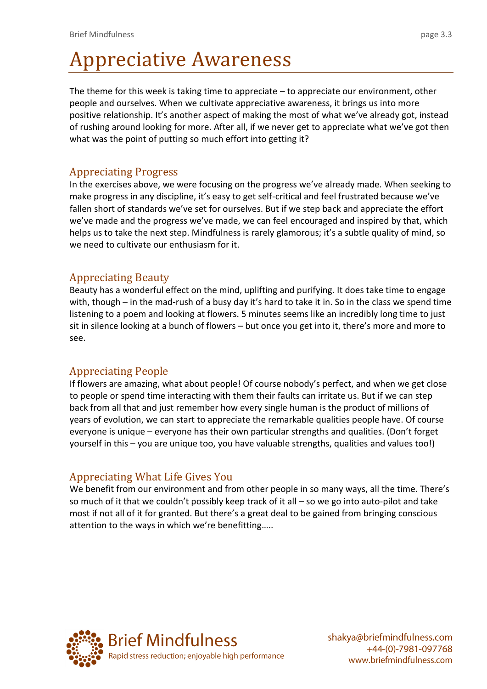# Appreciative Awareness

The theme for this week is taking time to appreciate – to appreciate our environment, other people and ourselves. When we cultivate appreciative awareness, it brings us into more positive relationship. It's another aspect of making the most of what we've already got, instead of rushing around looking for more. After all, if we never get to appreciate what we've got then what was the point of putting so much effort into getting it?

### Appreciating Progress

In the exercises above, we were focusing on the progress we've already made. When seeking to make progress in any discipline, it's easy to get self-critical and feel frustrated because we've fallen short of standards we've set for ourselves. But if we step back and appreciate the effort we've made and the progress we've made, we can feel encouraged and inspired by that, which helps us to take the next step. Mindfulness is rarely glamorous; it's a subtle quality of mind, so we need to cultivate our enthusiasm for it.

### Appreciating Beauty

Beauty has a wonderful effect on the mind, uplifting and purifying. It does take time to engage with, though – in the mad-rush of a busy day it's hard to take it in. So in the class we spend time listening to a poem and looking at flowers. 5 minutes seems like an incredibly long time to just sit in silence looking at a bunch of flowers – but once you get into it, there's more and more to see.

### Appreciating People

If flowers are amazing, what about people! Of course nobody's perfect, and when we get close to people or spend time interacting with them their faults can irritate us. But if we can step back from all that and just remember how every single human is the product of millions of years of evolution, we can start to appreciate the remarkable qualities people have. Of course everyone is unique – everyone has their own particular strengths and qualities. (Don't forget yourself in this – you are unique too, you have valuable strengths, qualities and values too!)

### Appreciating What Life Gives You

We benefit from our environment and from other people in so many ways, all the time. There's so much of it that we couldn't possibly keep track of it all – so we go into auto-pilot and take most if not all of it for granted. But there's a great deal to be gained from bringing conscious attention to the ways in which we're benefitting…..

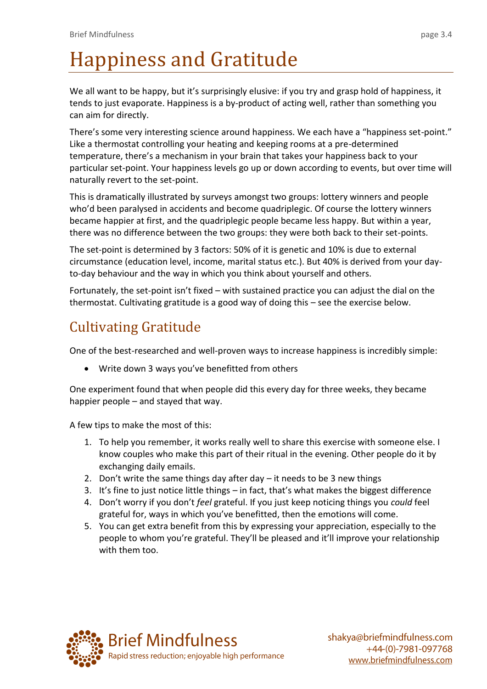# Happiness and Gratitude

We all want to be happy, but it's surprisingly elusive: if you try and grasp hold of happiness, it tends to just evaporate. Happiness is a by-product of acting well, rather than something you can aim for directly.

There's some very interesting science around happiness. We each have a "happiness set-point." Like a thermostat controlling your heating and keeping rooms at a pre-determined temperature, there's a mechanism in your brain that takes your happiness back to your particular set-point. Your happiness levels go up or down according to events, but over time will naturally revert to the set-point.

This is dramatically illustrated by surveys amongst two groups: lottery winners and people who'd been paralysed in accidents and become quadriplegic. Of course the lottery winners became happier at first, and the quadriplegic people became less happy. But within a year, there was no difference between the two groups: they were both back to their set-points.

The set-point is determined by 3 factors: 50% of it is genetic and 10% is due to external circumstance (education level, income, marital status etc.). But 40% is derived from your dayto-day behaviour and the way in which you think about yourself and others.

Fortunately, the set-point isn't fixed – with sustained practice you can adjust the dial on the thermostat. Cultivating gratitude is a good way of doing this – see the exercise below.

## Cultivating Gratitude

One of the best-researched and well-proven ways to increase happiness is incredibly simple:

Write down 3 ways you've benefitted from others

One experiment found that when people did this every day for three weeks, they became happier people – and stayed that way.

A few tips to make the most of this:

- 1. To help you remember, it works really well to share this exercise with someone else. I know couples who make this part of their ritual in the evening. Other people do it by exchanging daily emails.
- 2. Don't write the same things day after day it needs to be 3 new things
- 3. It's fine to just notice little things in fact, that's what makes the biggest difference
- 4. Don't worry if you don't *feel* grateful. If you just keep noticing things you *could* feel grateful for, ways in which you've benefitted, then the emotions will come.
- 5. You can get extra benefit from this by expressing your appreciation, especially to the people to whom you're grateful. They'll be pleased and it'll improve your relationship with them too.

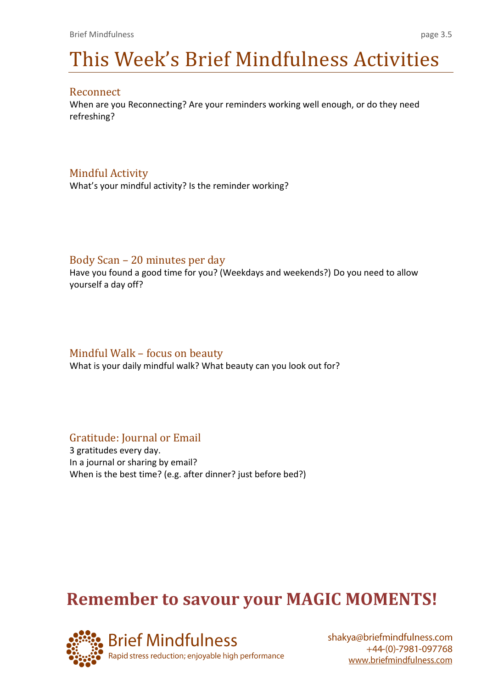# This Week's Brief Mindfulness Activities

### Reconnect

When are you Reconnecting? Are your reminders working well enough, or do they need refreshing?

## Mindful Activity

What's your mindful activity? Is the reminder working?

### Body Scan – 20 minutes per day

Have you found a good time for you? (Weekdays and weekends?) Do you need to allow yourself a day off?

## Mindful Walk – focus on beauty

What is your daily mindful walk? What beauty can you look out for?

## Gratitude: Journal or Email

3 gratitudes every day. In a journal or sharing by email? When is the best time? (e.g. after dinner? just before bed?)

## **Remember to savour your MAGIC MOMENTS!**

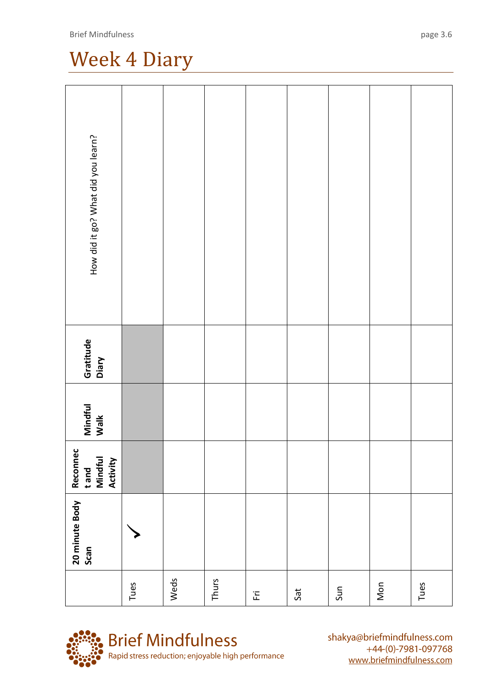## Week 4 Diary

| How did it go? What did you learn?       |      |      |       |       |     |     |     |      |
|------------------------------------------|------|------|-------|-------|-----|-----|-----|------|
| Gratitude<br>Diary                       |      |      |       |       |     |     |     |      |
| Mindful<br>Walk                          |      |      |       |       |     |     |     |      |
| Reconnec<br>t and<br>Mindful<br>Activity |      |      |       |       |     |     |     |      |
| 20 minute Body<br>Scan                   |      |      |       |       |     |     |     |      |
|                                          | Tues | Weds | Thurs | $\Xi$ | Sat | Sun | Mon | Tues |